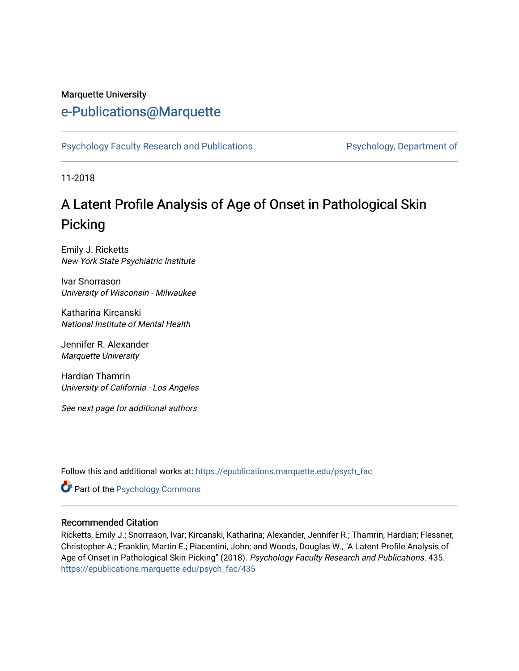#### Marquette University

# [e-Publications@Marquette](https://epublications.marquette.edu/)

[Psychology Faculty Research and Publications](https://epublications.marquette.edu/psych_fac) **Properties Psychology, Department of** 

11-2018

# A Latent Profile Analysis of Age of Onset in Pathological Skin Picking

Emily J. Ricketts New York State Psychiatric Institute

Ivar Snorrason University of Wisconsin - Milwaukee

Katharina Kircanski National Institute of Mental Health

Jennifer R. Alexander Marquette University

Hardian Thamrin University of California - Los Angeles

See next page for additional authors

Follow this and additional works at: [https://epublications.marquette.edu/psych\\_fac](https://epublications.marquette.edu/psych_fac?utm_source=epublications.marquette.edu%2Fpsych_fac%2F435&utm_medium=PDF&utm_campaign=PDFCoverPages)

**Part of the Psychology Commons** 

#### Recommended Citation

Ricketts, Emily J.; Snorrason, Ivar; Kircanski, Katharina; Alexander, Jennifer R.; Thamrin, Hardian; Flessner, Christopher A.; Franklin, Martin E.; Piacentini, John; and Woods, Douglas W., "A Latent Profile Analysis of Age of Onset in Pathological Skin Picking" (2018). Psychology Faculty Research and Publications. 435. [https://epublications.marquette.edu/psych\\_fac/435](https://epublications.marquette.edu/psych_fac/435?utm_source=epublications.marquette.edu%2Fpsych_fac%2F435&utm_medium=PDF&utm_campaign=PDFCoverPages)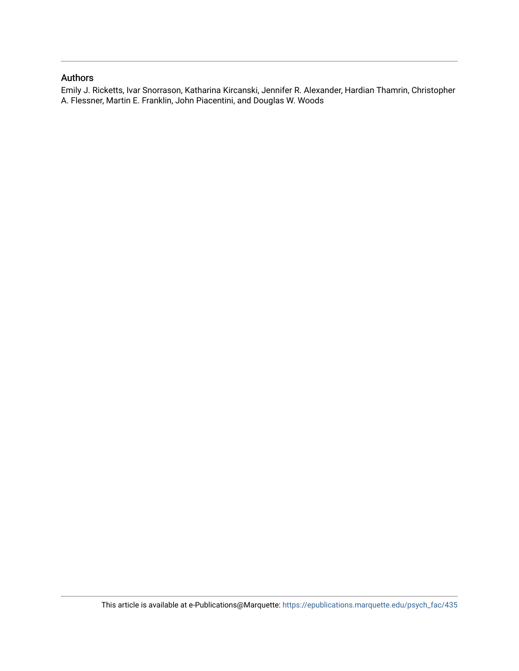#### Authors

Emily J. Ricketts, Ivar Snorrason, Katharina Kircanski, Jennifer R. Alexander, Hardian Thamrin, Christopher A. Flessner, Martin E. Franklin, John Piacentini, and Douglas W. Woods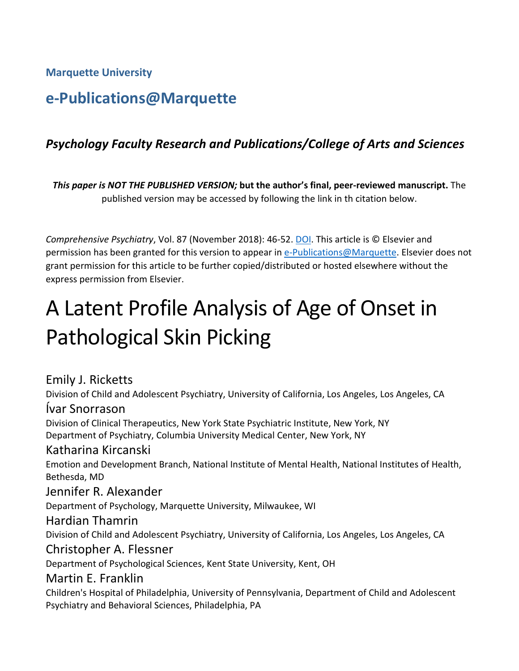**Marquette University**

# **e-Publications@Marquette**

## *Psychology Faculty Research and Publications/College of Arts and Sciences*

*This paper is NOT THE PUBLISHED VERSION;* **but the author's final, peer-reviewed manuscript.** The published version may be accessed by following the link in th citation below.

*Comprehensive Psychiatry*, Vol. 87 (November 2018): 46-52. [DOI.](https://doi.org/10.1016/j.comppsych.2018.08.011) This article is © Elsevier and permission has been granted for this version to appear in [e-Publications@Marquette.](http://epublications.marquette.edu/) Elsevier does not grant permission for this article to be further copied/distributed or hosted elsewhere without the express permission from Elsevier.

# A Latent Profile Analysis of Age of Onset in Pathological Skin Picking

Emily J. Ricketts Division of Child and Adolescent Psychiatry, University of California, Los Angeles, Los Angeles, CA Ívar Snorrason Division of Clinical Therapeutics, New York State Psychiatric Institute, New York, NY Department of Psychiatry, Columbia University Medical Center, New York, NY Katharina Kircanski Emotion and Development Branch, National Institute of Mental Health, National Institutes of Health, Bethesda, MD Jennifer R. Alexander Department of Psychology, Marquette University, Milwaukee, WI Hardian Thamrin Division of Child and Adolescent Psychiatry, University of California, Los Angeles, Los Angeles, CA Christopher A. Flessner Department of Psychological Sciences, Kent State University, Kent, OH Martin E. Franklin Children's Hospital of Philadelphia, University of Pennsylvania, Department of Child and Adolescent Psychiatry and Behavioral Sciences, Philadelphia, PA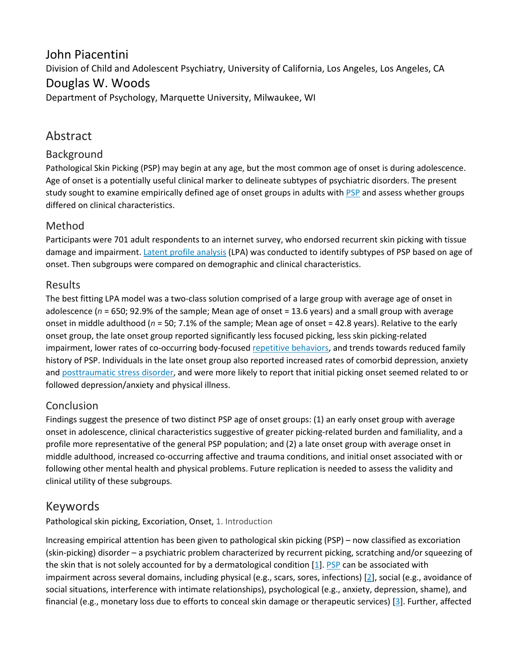## John Piacentini

Division of Child and Adolescent Psychiatry, University of California, Los Angeles, Los Angeles, CA

## Douglas W. Woods

Department of Psychology, Marquette University, Milwaukee, WI

## Abstract

#### Background

Pathological Skin Picking (PSP) may begin at any age, but the most common age of onset is during adolescence. Age of onset is a potentially useful clinical marker to delineate subtypes of psychiatric disorders. The present study sought to examine empirically defined age of onset groups in adults with [PSP](https://0-www-sciencedirect-com.libus.csd.mu.edu/topics/medicine-and-dentistry/postsynaptic-potential) and assess whether groups differed on clinical characteristics.

#### Method

Participants were 701 adult respondents to an internet survey, who endorsed recurrent skin picking with tissue damage and impairment. [Latent profile analysis](https://0-www-sciencedirect-com.libus.csd.mu.edu/topics/psychology/latent-profile-analysis) (LPA) was conducted to identify subtypes of PSP based on age of onset. Then subgroups were compared on demographic and clinical characteristics.

#### Results

The best fitting LPA model was a two-class solution comprised of a large group with average age of onset in adolescence ( $n = 650$ ; 92.9% of the sample; Mean age of onset = 13.6 years) and a small group with average onset in middle adulthood (*n* = 50; 7.1% of the sample; Mean age of onset = 42.8 years). Relative to the early onset group, the late onset group reported significantly less focused picking, less skin picking-related impairment, lower rates of co-occurring body-focused [repetitive behaviors,](https://0-www-sciencedirect-com.libus.csd.mu.edu/topics/medicine-and-dentistry/compulsive-behavior) and trends towards reduced family history of PSP. Individuals in the late onset group also reported increased rates of comorbid depression, anxiety and [posttraumatic stress disorder,](https://0-www-sciencedirect-com.libus.csd.mu.edu/topics/medicine-and-dentistry/posttraumatic-stress-disorder) and were more likely to report that initial picking onset seemed related to or followed depression/anxiety and physical illness.

#### Conclusion

Findings suggest the presence of two distinct PSP age of onset groups: (1) an early onset group with average onset in adolescence, clinical characteristics suggestive of greater picking-related burden and familiality, and a profile more representative of the general PSP population; and (2) a late onset group with average onset in middle adulthood, increased co-occurring affective and trauma conditions, and initial onset associated with or following other mental health and physical problems. Future replication is needed to assess the validity and clinical utility of these subgroups.

## Keywords

Pathological skin picking, Excoriation, Onset, 1. Introduction

Increasing empirical attention has been given to pathological skin picking (PSP) – now classified as excoriation (skin-picking) disorder – a psychiatric problem characterized by recurrent picking, scratching and/or squeezing of the skin that is not solely accounted for by a dermatological condition [\[1\]](https://0-www-sciencedirect-com.libus.csd.mu.edu/science/article/pii/S0010440X18301421#bb0005). [PSP](https://0-www-sciencedirect-com.libus.csd.mu.edu/topics/medicine-and-dentistry/postsynaptic-potential) can be associated with impairment across several domains, including physical (e.g., scars, sores, infections) [\[2\]](https://0-www-sciencedirect-com.libus.csd.mu.edu/science/article/pii/S0010440X18301421#bb0010), social (e.g., avoidance of social situations, interference with intimate relationships), psychological (e.g., anxiety, depression, shame), and financial (e.g., monetary loss due to efforts to conceal skin damage or therapeutic services) [[3](https://0-www-sciencedirect-com.libus.csd.mu.edu/science/article/pii/S0010440X18301421#bb0015)]. Further, affected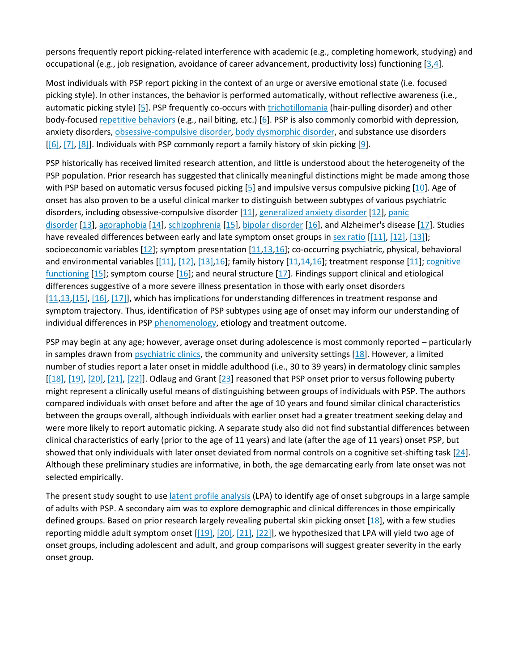persons frequently report picking-related interference with academic (e.g., completing homework, studying) and occupational (e.g., job resignation, avoidance of career advancement, productivity loss) functioning [[3](https://0-www-sciencedirect-com.libus.csd.mu.edu/science/article/pii/S0010440X18301421#bb0015)[,4\]](https://0-www-sciencedirect-com.libus.csd.mu.edu/science/article/pii/S0010440X18301421#bb0020).

Most individuals with PSP report picking in the context of an urge or aversive emotional state (i.e. focused picking style). In other instances, the behavior is performed automatically, without reflective awareness (i.e., automatic picking style) [\[5\]](https://0-www-sciencedirect-com.libus.csd.mu.edu/science/article/pii/S0010440X18301421#bb0025). PSP frequently co-occurs with [trichotillomania](https://0-www-sciencedirect-com.libus.csd.mu.edu/topics/medicine-and-dentistry/trichotillomania) (hair-pulling disorder) and other body-focused [repetitive behaviors](https://0-www-sciencedirect-com.libus.csd.mu.edu/topics/medicine-and-dentistry/compulsive-behavior) (e.g., nail biting, etc.) [\[6\]](https://0-www-sciencedirect-com.libus.csd.mu.edu/science/article/pii/S0010440X18301421#bb0030). PSP is also commonly comorbid with depression, anxiety disorders, [obsessive-compulsive disorder,](https://0-www-sciencedirect-com.libus.csd.mu.edu/topics/medicine-and-dentistry/obsessive-compulsive-disorder) [body dysmorphic disorder,](https://0-www-sciencedirect-com.libus.csd.mu.edu/topics/medicine-and-dentistry/body-dysmorphic-disorder) and substance use disorders  $[6]$ ,  $[7]$ ,  $[8]$ ]. Individuals with PSP commonly report a family history of skin picking  $[9]$  $[9]$  $[9]$ .

PSP historically has received limited research attention, and little is understood about the heterogeneity of the PSP population. Prior research has suggested that clinically meaningful distinctions might be made among those with PSP based on automatic versus focused picking [\[5\]](https://0-www-sciencedirect-com.libus.csd.mu.edu/science/article/pii/S0010440X18301421#bb0025) and impulsive versus compulsive picking [\[10\]](https://0-www-sciencedirect-com.libus.csd.mu.edu/science/article/pii/S0010440X18301421#bb0050). Age of onset has also proven to be a useful clinical marker to distinguish between subtypes of various psychiatric disorders, including obsessive-compulsive disorder [\[11\]](https://0-www-sciencedirect-com.libus.csd.mu.edu/science/article/pii/S0010440X18301421#bb0055), [generalized anxiety disorder](https://0-www-sciencedirect-com.libus.csd.mu.edu/topics/medicine-and-dentistry/generalized-anxiety-disorder) [\[12\]](https://0-www-sciencedirect-com.libus.csd.mu.edu/science/article/pii/S0010440X18301421#bb0060), [panic](https://0-www-sciencedirect-com.libus.csd.mu.edu/topics/medicine-and-dentistry/panic-disorder)  [disorder](https://0-www-sciencedirect-com.libus.csd.mu.edu/topics/medicine-and-dentistry/panic-disorder) [[13](https://0-www-sciencedirect-com.libus.csd.mu.edu/science/article/pii/S0010440X18301421#bb0065)], [agoraphobia](https://0-www-sciencedirect-com.libus.csd.mu.edu/topics/medicine-and-dentistry/agoraphobia) [\[14\]](https://0-www-sciencedirect-com.libus.csd.mu.edu/science/article/pii/S0010440X18301421#bb0070), [schizophrenia](https://0-www-sciencedirect-com.libus.csd.mu.edu/topics/medicine-and-dentistry/schizophrenia) [\[15\]](https://0-www-sciencedirect-com.libus.csd.mu.edu/science/article/pii/S0010440X18301421#bb0075), [bipolar disorder](https://0-www-sciencedirect-com.libus.csd.mu.edu/topics/medicine-and-dentistry/bipolar-disorder) [\[16\]](https://0-www-sciencedirect-com.libus.csd.mu.edu/science/article/pii/S0010440X18301421#bb0080), and Alzheimer's disease [\[17\]](https://0-www-sciencedirect-com.libus.csd.mu.edu/science/article/pii/S0010440X18301421#bb0085). Studies have revealed differences between early and late symptom onset groups in [sex ratio](https://0-www-sciencedirect-com.libus.csd.mu.edu/topics/medicine-and-dentistry/sex-ratio) [\[\[11\],](https://0-www-sciencedirect-com.libus.csd.mu.edu/science/article/pii/S0010440X18301421#bb0055) [\[12\],](https://0-www-sciencedirect-com.libus.csd.mu.edu/science/article/pii/S0010440X18301421#bb0060) [\[13\]\]](https://0-www-sciencedirect-com.libus.csd.mu.edu/science/article/pii/S0010440X18301421#bb0065); socioeconomic variables  $[12]$  $[12]$ ; symptom presentation  $[11,13,16]$  $[11,13,16]$  $[11,13,16]$  $[11,13,16]$ ; co-occurring psychiatric, physical, behavioral and environmental variables [\[\[11\],](https://0-www-sciencedirect-com.libus.csd.mu.edu/science/article/pii/S0010440X18301421#bb0055) [\[12\],](https://0-www-sciencedirect-com.libus.csd.mu.edu/science/article/pii/S0010440X18301421#bb0060) [\[13\]](https://0-www-sciencedirect-com.libus.csd.mu.edu/science/article/pii/S0010440X18301421#bb0065), 16]; family history [[11](https://0-www-sciencedirect-com.libus.csd.mu.edu/science/article/pii/S0010440X18301421#bb0055), 14, 16]; treatment response [[11\]](https://0-www-sciencedirect-com.libus.csd.mu.edu/science/article/pii/S0010440X18301421#bb0055); cognitive [functioning](https://0-www-sciencedirect-com.libus.csd.mu.edu/topics/psychology/cognitive-functioning) [\[15](https://0-www-sciencedirect-com.libus.csd.mu.edu/science/article/pii/S0010440X18301421#bb0075)]; symptom course [[16](https://0-www-sciencedirect-com.libus.csd.mu.edu/science/article/pii/S0010440X18301421#bb0080)]; and neural structure [[17\]](https://0-www-sciencedirect-com.libus.csd.mu.edu/science/article/pii/S0010440X18301421#bb0085). Findings support clinical and etiological differences suggestive of a more severe illness presentation in those with early onset disorders [\[11,](https://0-www-sciencedirect-com.libus.csd.mu.edu/science/article/pii/S0010440X18301421#bb0055)[13](https://0-www-sciencedirect-com.libus.csd.mu.edu/science/article/pii/S0010440X18301421#bb0065)[,\[15\],](https://0-www-sciencedirect-com.libus.csd.mu.edu/science/article/pii/S0010440X18301421#bb0075) [\[16\],](https://0-www-sciencedirect-com.libus.csd.mu.edu/science/article/pii/S0010440X18301421#bb0080) [\[17\]\]](https://0-www-sciencedirect-com.libus.csd.mu.edu/science/article/pii/S0010440X18301421#bb0085), which has implications for understanding differences in treatment response and symptom trajectory. Thus, identification of PSP subtypes using age of onset may inform our understanding of individual differences in PSP [phenomenology,](https://0-www-sciencedirect-com.libus.csd.mu.edu/topics/neuroscience/phenomenology) etiology and treatment outcome.

PSP may begin at any age; however, average onset during adolescence is most commonly reported – particularly in samples drawn from [psychiatric clinics,](https://0-www-sciencedirect-com.libus.csd.mu.edu/topics/medicine-and-dentistry/mental-hospital) the community and university settings [\[18\]](https://0-www-sciencedirect-com.libus.csd.mu.edu/science/article/pii/S0010440X18301421#bb0090). However, a limited number of studies report a later onset in middle adulthood (i.e., 30 to 39 years) in dermatology clinic samples [\[\[18\],](https://0-www-sciencedirect-com.libus.csd.mu.edu/science/article/pii/S0010440X18301421#bb0090) [\[19\]](https://0-www-sciencedirect-com.libus.csd.mu.edu/science/article/pii/S0010440X18301421#bb0095), [\[20\],](https://0-www-sciencedirect-com.libus.csd.mu.edu/science/article/pii/S0010440X18301421#bb0100) [\[21\],](https://0-www-sciencedirect-com.libus.csd.mu.edu/science/article/pii/S0010440X18301421#bb0105) [\[22\]\]](https://0-www-sciencedirect-com.libus.csd.mu.edu/science/article/pii/S0010440X18301421#bb0110). Odlaug and Grant [[23](https://0-www-sciencedirect-com.libus.csd.mu.edu/science/article/pii/S0010440X18301421#bb0115)] reasoned that PSP onset prior to versus following puberty might represent a clinically useful means of distinguishing between groups of individuals with PSP. The authors compared individuals with onset before and after the age of 10 years and found similar clinical characteristics between the groups overall, although individuals with earlier onset had a greater treatment seeking delay and were more likely to report automatic picking. A separate study also did not find substantial differences between clinical characteristics of early (prior to the age of 11 years) and late (after the age of 11 years) onset PSP, but showed that only individuals with later onset deviated from normal controls on a cognitive set-shifting task [\[24\]](https://0-www-sciencedirect-com.libus.csd.mu.edu/science/article/pii/S0010440X18301421#bb0120). Although these preliminary studies are informative, in both, the age demarcating early from late onset was not selected empirically.

The present study sought to use [latent profile analysis](https://0-www-sciencedirect-com.libus.csd.mu.edu/topics/psychology/latent-profile-analysis) (LPA) to identify age of onset subgroups in a large sample of adults with PSP. A secondary aim was to explore demographic and clinical differences in those empirically defined groups. Based on prior research largely revealing pubertal skin picking onset [\[18\]](https://0-www-sciencedirect-com.libus.csd.mu.edu/science/article/pii/S0010440X18301421#bb0090), with a few studies reporting middle adult symptom onset [[\[19\]](https://0-www-sciencedirect-com.libus.csd.mu.edu/science/article/pii/S0010440X18301421#bb0095), [\[20\],](https://0-www-sciencedirect-com.libus.csd.mu.edu/science/article/pii/S0010440X18301421#bb0100) [\[21\],](https://0-www-sciencedirect-com.libus.csd.mu.edu/science/article/pii/S0010440X18301421#bb0105) [\[22\]\]](https://0-www-sciencedirect-com.libus.csd.mu.edu/science/article/pii/S0010440X18301421#bb0110), we hypothesized that LPA will yield two age of onset groups, including adolescent and adult, and group comparisons will suggest greater severity in the early onset group.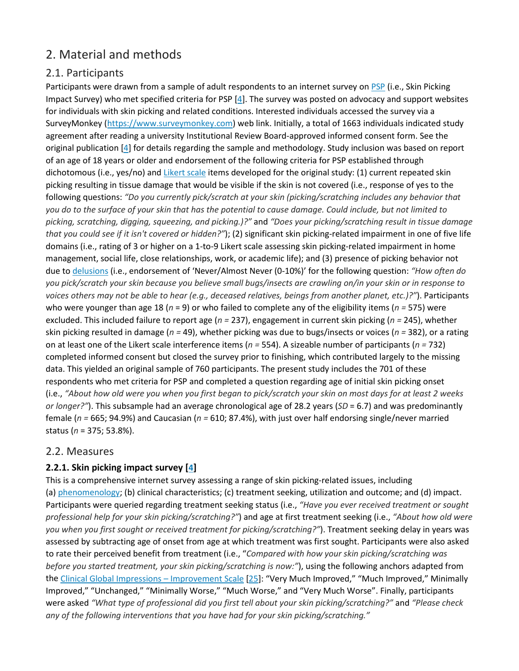## 2. Material and methods

#### 2.1. Participants

Participants were drawn from a sample of adult respondents to an internet survey on [PSP](https://0-www-sciencedirect-com.libus.csd.mu.edu/topics/medicine-and-dentistry/postsynaptic-potential) (i.e., Skin Picking Impact Survey) who met specified criteria for PSP [\[4\]](https://0-www-sciencedirect-com.libus.csd.mu.edu/science/article/pii/S0010440X18301421#bb0020). The survey was posted on advocacy and support websites for individuals with skin picking and related conditions. Interested individuals accessed the survey via a SurveyMonkey [\(https://www.surveymonkey.com](https://www.surveymonkey.com/)) web link. Initially, a total of 1663 individuals indicated study agreement after reading a university Institutional Review Board-approved informed consent form. See the original publication [\[4\]](https://0-www-sciencedirect-com.libus.csd.mu.edu/science/article/pii/S0010440X18301421#bb0020) for details regarding the sample and methodology. Study inclusion was based on report of an age of 18 years or older and endorsement of the following criteria for PSP established through dichotomous (i.e., yes/no) and [Likert scale](https://0-www-sciencedirect-com.libus.csd.mu.edu/topics/medicine-and-dentistry/likert-scale) items developed for the original study: (1) current repeated skin picking resulting in tissue damage that would be visible if the skin is not covered (i.e., response of yes to the following questions: *"Do you currently pick/scratch at your skin (picking/scratching includes any behavior that you do to the surface of your skin that has the potential to cause damage. Could include, but not limited to picking, scratching, digging, squeezing, and picking.)?"* and *"Does your picking/scratching result in tissue damage that you could see if it isn't covered or hidden?"*); (2) significant skin picking-related impairment in one of five life domains (i.e., rating of 3 or higher on a 1-to-9 Likert scale assessing skin picking-related impairment in home management, social life, close relationships, work, or academic life); and (3) presence of picking behavior not due to [delusions](https://0-www-sciencedirect-com.libus.csd.mu.edu/topics/medicine-and-dentistry/delusion) (i.e., endorsement of 'Never/Almost Never (0-10%)' for the following question: *"How often do you pick/scratch your skin because you believe small bugs/insects are crawling on/in your skin or in response to voices others may not be able to hear (e.g., deceased relatives, beings from another planet, etc.)?"*). Participants who were younger than age 18 (*n* = 9) or who failed to complete any of the eligibility items (*n =* 575) were excluded. This included failure to report age (*n =* 237), engagement in current skin picking (*n =* 245), whether skin picking resulted in damage (*n =* 49), whether picking was due to bugs/insects or voices (*n =* 382), or a rating on at least one of the Likert scale interference items (*n =* 554). A sizeable number of participants (*n =* 732) completed informed consent but closed the survey prior to finishing, which contributed largely to the missing data. This yielded an original sample of 760 participants. The present study includes the 701 of these respondents who met criteria for PSP and completed a question regarding age of initial skin picking onset (i.e., *"About how old were you when you first began to pick/scratch your skin on most days for at least 2 weeks or longer?"*). This subsample had an average chronological age of 28.2 years (*SD* = 6.7) and was predominantly female (*n =* 665; 94.9%) and Caucasian (*n =* 610; 87.4%), with just over half endorsing single/never married status (*n* = 375; 53.8%).

#### 2.2. Measures

#### **2.2.1. Skin picking impact survey [\[4\]](https://0-www-sciencedirect-com.libus.csd.mu.edu/science/article/pii/S0010440X18301421#bb0020)**

This is a comprehensive internet survey assessing a range of skin picking-related issues, including (a) [phenomenology](https://0-www-sciencedirect-com.libus.csd.mu.edu/topics/neuroscience/phenomenology); (b) clinical characteristics; (c) treatment seeking, utilization and outcome; and (d) impact. Participants were queried regarding treatment seeking status (i.e., *"Have you ever received treatment or sought professional help for your skin picking/scratching?"*) and age at first treatment seeking (i.e., *"About how old were you when you first sought or received treatment for picking/scratching?"*). Treatment seeking delay in years was assessed by subtracting age of onset from age at which treatment was first sought. Participants were also asked to rate their perceived benefit from treatment (i.e., "*Compared with how your skin picking/scratching was before you started treatment, your skin picking/scratching is now:"*), using the following anchors adapted from the Clinical [Global Impressions –](https://0-www-sciencedirect-com.libus.csd.mu.edu/topics/medicine-and-dentistry/clinical-global-impression) Improvement Scale [\[25\]](https://0-www-sciencedirect-com.libus.csd.mu.edu/science/article/pii/S0010440X18301421#bb0125): "Very Much Improved," "Much Improved," Minimally Improved," "Unchanged," "Minimally Worse," "Much Worse," and "Very Much Worse". Finally, participants were asked *"What type of professional did you first tell about your skin picking/scratching?"* and *"Please check any of the following interventions that you have had for your skin picking/scratching."*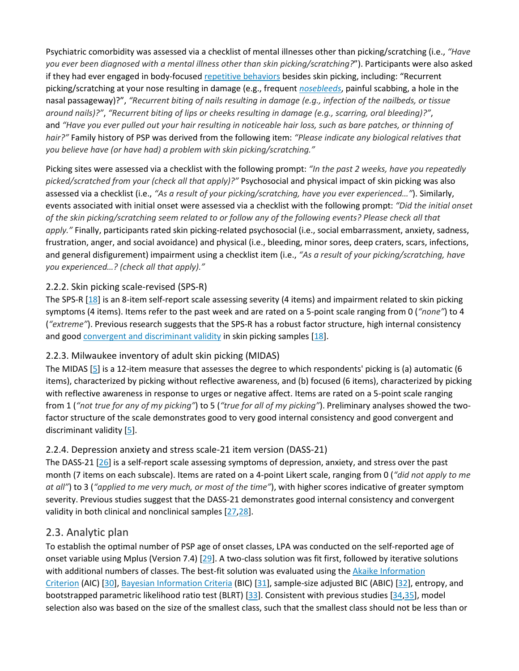Psychiatric comorbidity was assessed via a checklist of mental illnesses other than picking/scratching (i.e., *"Have you ever been diagnosed with a mental illness other than skin picking/scratching?*"). Participants were also asked if they had ever engaged in body-focused [repetitive behaviors](https://0-www-sciencedirect-com.libus.csd.mu.edu/topics/medicine-and-dentistry/compulsive-behavior) besides skin picking, including: "Recurrent picking/scratching at your nose resulting in damage (e.g., frequent *[nosebleeds](https://0-www-sciencedirect-com.libus.csd.mu.edu/topics/medicine-and-dentistry/epistaxis)*, painful scabbing, a hole in the nasal passageway)?", *"Recurrent biting of nails resulting in damage (e.g., infection of the nailbeds, or tissue around nails)?"*, *"Recurrent biting of lips or cheeks resulting in damage (e.g., scarring, oral bleeding)?"*, and *"Have you ever pulled out your hair resulting in noticeable hair loss, such as bare patches, or thinning of hair?"* Family history of PSP was derived from the following item: *"Please indicate any biological relatives that you believe have (or have had) a problem with skin picking/scratching."*

Picking sites were assessed via a checklist with the following prompt: *"In the past 2 weeks, have you repeatedly picked/scratched from your (check all that apply)?"* Psychosocial and physical impact of skin picking was also assessed via a checklist (i.e., *"As a result of your picking/scratching, have you ever experienced…"*). Similarly, events associated with initial onset were assessed via a checklist with the following prompt: *"Did the initial onset of the skin picking/scratching seem related to or follow any of the following events? Please check all that apply."* Finally, participants rated skin picking-related psychosocial (i.e., social embarrassment, anxiety, sadness, frustration, anger, and social avoidance) and physical (i.e., bleeding, minor sores, deep craters, scars, infections, and general disfigurement) impairment using a checklist item (i.e., *"As a result of your picking/scratching, have you experienced…? (check all that apply)."*

#### 2.2.2. Skin picking scale-revised (SPS-R)

The SPS-R [\[18\]](https://0-www-sciencedirect-com.libus.csd.mu.edu/science/article/pii/S0010440X18301421#bb0090) is an 8-item self-report scale assessing severity (4 items) and impairment related to skin picking symptoms (4 items). Items refer to the past week and are rated on a 5-point scale ranging from 0 (*"none"*) to 4 (*"extreme"*). Previous research suggests that the SPS-R has a robust factor structure, high internal consistency and good [convergent and discriminant validity](https://0-www-sciencedirect-com.libus.csd.mu.edu/topics/psychology/convergent-validity) in skin picking samples [\[18\]](https://0-www-sciencedirect-com.libus.csd.mu.edu/science/article/pii/S0010440X18301421#bb0090).

#### 2.2.3. Milwaukee inventory of adult skin picking (MIDAS)

The MIDAS [\[5\]](https://0-www-sciencedirect-com.libus.csd.mu.edu/science/article/pii/S0010440X18301421#bb0025) is a 12-item measure that assesses the degree to which respondents' picking is (a) automatic (6 items), characterized by picking without reflective awareness, and (b) focused (6 items), characterized by picking with reflective awareness in response to urges or negative affect. Items are rated on a 5-point scale ranging from 1 (*"not true for any of my picking"*) to 5 (*"true for all of my picking"*). Preliminary analyses showed the twofactor structure of the scale demonstrates good to very good internal consistency and good convergent and discriminant validity [\[5\]](https://0-www-sciencedirect-com.libus.csd.mu.edu/science/article/pii/S0010440X18301421#bb0025).

#### 2.2.4. Depression anxiety and stress scale-21 item version (DASS-21)

The DASS-21 [\[26\]](https://0-www-sciencedirect-com.libus.csd.mu.edu/science/article/pii/S0010440X18301421#bb0130) is a self-report scale assessing symptoms of depression, anxiety, and stress over the past month (7 items on each subscale). Items are rated on a 4-point Likert scale, ranging from 0 (*"did not apply to me at all"*) to 3 (*"applied to me very much, or most of the time"*), with higher scores indicative of greater symptom severity. Previous studies suggest that the DASS-21 demonstrates good internal consistency and convergent validity in both clinical and nonclinical samples [\[27](https://0-www-sciencedirect-com.libus.csd.mu.edu/science/article/pii/S0010440X18301421#bb0135)[,28\]](https://0-www-sciencedirect-com.libus.csd.mu.edu/science/article/pii/S0010440X18301421#bb0140).

#### 2.3. Analytic plan

To establish the optimal number of PSP age of onset classes, LPA was conducted on the self-reported age of onset variable using Mplus (Version 7.4) [[29](https://0-www-sciencedirect-com.libus.csd.mu.edu/science/article/pii/S0010440X18301421#bb0145)]. A two-class solution was fit first, followed by iterative solutions with additional numbers of classes. The best-fit solution was evaluated using the Akaike Information [Criterion](https://0-www-sciencedirect-com.libus.csd.mu.edu/topics/medicine-and-dentistry/akaike-information-criterion) (AIC) [[30](https://0-www-sciencedirect-com.libus.csd.mu.edu/science/article/pii/S0010440X18301421#bb0150)], [Bayesian Information Criteria](https://0-www-sciencedirect-com.libus.csd.mu.edu/topics/medicine-and-dentistry/bayesian-information-criterion) (BIC) [[31](https://0-www-sciencedirect-com.libus.csd.mu.edu/science/article/pii/S0010440X18301421#bb0155)], sample-size adjusted BIC (ABIC) [[32](https://0-www-sciencedirect-com.libus.csd.mu.edu/science/article/pii/S0010440X18301421#bb0160)], entropy, and bootstrapped parametric likelihood ratio test (BLRT) [[33](https://0-www-sciencedirect-com.libus.csd.mu.edu/science/article/pii/S0010440X18301421#bb0165)]. Consistent with previous studies [[34](https://0-www-sciencedirect-com.libus.csd.mu.edu/science/article/pii/S0010440X18301421#bb0170),[35](https://0-www-sciencedirect-com.libus.csd.mu.edu/science/article/pii/S0010440X18301421#bb0175)], model selection also was based on the size of the smallest class, such that the smallest class should not be less than or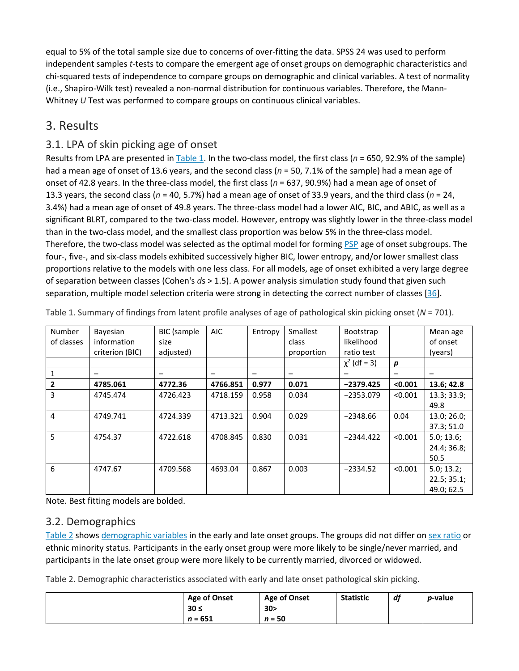equal to 5% of the total sample size due to concerns of over-fitting the data. SPSS 24 was used to perform independent samples *t*-tests to compare the emergent age of onset groups on demographic characteristics and chi-squared tests of independence to compare groups on demographic and clinical variables. A test of normality (i.e., Shapiro-Wilk test) revealed a non-normal distribution for continuous variables. Therefore, the Mann-Whitney *U* Test was performed to compare groups on continuous clinical variables.

## 3. Results

## 3.1. LPA of skin picking age of onset

Results from LPA are presented in [Table 1.](https://0-www-sciencedirect-com.libus.csd.mu.edu/science/article/pii/S0010440X18301421#t0005) In the two-class model, the first class (*n* = 650, 92.9% of the sample) had a mean age of onset of 13.6 years, and the second class (*n* = 50, 7.1% of the sample) had a mean age of onset of 42.8 years. In the three-class model, the first class (*n* = 637, 90.9%) had a mean age of onset of 13.3 years, the second class (*n* = 40, 5.7%) had a mean age of onset of 33.9 years, and the third class (*n* = 24, 3.4%) had a mean age of onset of 49.8 years. The three-class model had a lower AIC, BIC, and ABIC, as well as a significant BLRT, compared to the two-class model. However, entropy was slightly lower in the three-class model than in the two-class model, and the smallest class proportion was below 5% in the three-class model. Therefore, the two-class model was selected as the optimal model for forming [PSP](https://0-www-sciencedirect-com.libus.csd.mu.edu/topics/medicine-and-dentistry/postsynaptic-potential) age of onset subgroups. The four-, five-, and six-class models exhibited successively higher BIC, lower entropy, and/or lower smallest class proportions relative to the models with one less class. For all models, age of onset exhibited a very large degree of separation between classes (Cohen's *d*s > 1.5). A power analysis simulation study found that given such separation, multiple model selection criteria were strong in detecting the correct number of classes [[36](https://0-www-sciencedirect-com.libus.csd.mu.edu/science/article/pii/S0010440X18301421#bb0180)].

| Number         | Bayesian        | BIC (sample | <b>AIC</b> | Entropy | Smallest   | Bootstrap      |                  | Mean age    |
|----------------|-----------------|-------------|------------|---------|------------|----------------|------------------|-------------|
| of classes     | information     | size        |            |         | class      | likelihood     |                  | of onset    |
|                | criterion (BIC) | adjusted)   |            |         | proportion | ratio test     |                  | (years)     |
|                |                 |             |            |         |            | $x^2$ (df = 3) | $\boldsymbol{p}$ |             |
| 1              |                 |             |            |         |            |                |                  |             |
| $\overline{2}$ | 4785.061        | 4772.36     | 4766.851   | 0.977   | 0.071      | $-2379.425$    | < 0.001          | 13.6; 42.8  |
| 3              | 4745.474        | 4726.423    | 4718.159   | 0.958   | 0.034      | $-2353.079$    | < 0.001          | 13.3; 33.9; |
|                |                 |             |            |         |            |                |                  | 49.8        |
| $\overline{4}$ | 4749.741        | 4724.339    | 4713.321   | 0.904   | 0.029      | $-2348.66$     | 0.04             | 13.0; 26.0; |
|                |                 |             |            |         |            |                |                  | 37.3; 51.0  |
| 5              | 4754.37         | 4722.618    | 4708.845   | 0.830   | 0.031      | $-2344.422$    | < 0.001          | 5.0; 13.6;  |
|                |                 |             |            |         |            |                |                  | 24.4; 36.8; |
|                |                 |             |            |         |            |                |                  | 50.5        |
| 6              | 4747.67         | 4709.568    | 4693.04    | 0.867   | 0.003      | $-2334.52$     | < 0.001          | 5.0; 13.2;  |
|                |                 |             |            |         |            |                |                  | 22.5; 35.1; |
|                |                 |             |            |         |            |                |                  | 49.0; 62.5  |

Table 1. Summary of findings from latent profile analyses of age of pathological skin picking onset (*N* = 701).

Note. Best fitting models are bolded.

#### 3.2. Demographics

[Table 2](https://0-www-sciencedirect-com.libus.csd.mu.edu/science/article/pii/S0010440X18301421#t0010) shows [demographic variables](https://0-www-sciencedirect-com.libus.csd.mu.edu/topics/psychology/demographic-variable) in the early and late onset groups. The groups did not differ on [sex ratio](https://0-www-sciencedirect-com.libus.csd.mu.edu/topics/medicine-and-dentistry/sex-ratio) or ethnic minority status. Participants in the early onset group were more likely to be single/never married, and participants in the late onset group were more likely to be currently married, divorced or widowed.

Table 2. Demographic characteristics associated with early and late onset pathological skin picking.

| <b>Age of Onset</b> | <b>Age of Onset</b> | <b>Statistic</b> | df | <i>p</i> -value |
|---------------------|---------------------|------------------|----|-----------------|
| $30 \le$            | 30 <sub>2</sub>     |                  |    |                 |
| $n = 651$           | $n = 50$            |                  |    |                 |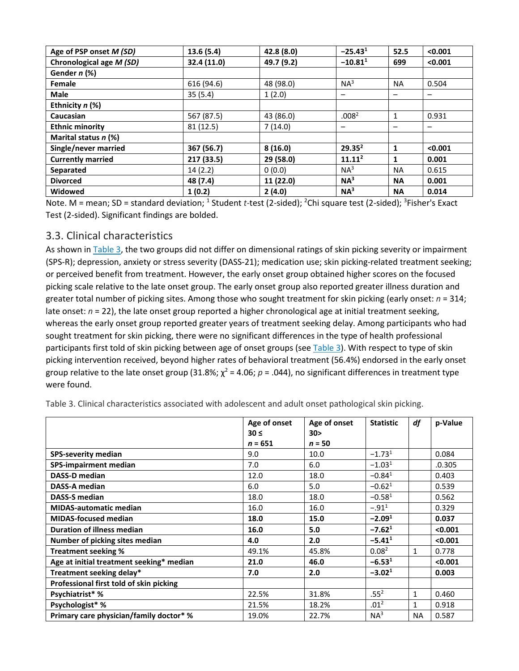| Age of PSP onset M (SD)  | 13.6(5.4)   | 42.8 (8.0) | $-25.43^{1}$       | 52.5         | < 0.001 |
|--------------------------|-------------|------------|--------------------|--------------|---------|
| Chronological age M (SD) | 32.4 (11.0) | 49.7 (9.2) | $-10.81^1$         | 699          | < 0.001 |
| Gender n (%)             |             |            |                    |              |         |
| Female                   | 616 (94.6)  | 48 (98.0)  | NA <sup>3</sup>    | <b>NA</b>    | 0.504   |
| <b>Male</b>              | 35(5.4)     | 1(2.0)     |                    |              | -       |
| Ethnicity n (%)          |             |            |                    |              |         |
| Caucasian                | 567 (87.5)  | 43 (86.0)  | .008 <sup>2</sup>  | 1            | 0.931   |
| <b>Ethnic minority</b>   | 81 (12.5)   | 7(14.0)    |                    |              |         |
| Marital status n (%)     |             |            |                    |              |         |
| Single/never married     | 367 (56.7)  | 8(16.0)    | 29.35 <sup>2</sup> | $\mathbf{1}$ | < 0.001 |
| <b>Currently married</b> | 217 (33.5)  | 29 (58.0)  | 11.11 <sup>2</sup> | 1            | 0.001   |
| Separated                | 14(2.2)     | 0(0.0)     | NA <sup>3</sup>    | <b>NA</b>    | 0.615   |
| <b>Divorced</b>          | 48 (7.4)    | 11 (22.0)  | NA <sup>3</sup>    | <b>NA</b>    | 0.001   |
| <b>Widowed</b>           | 1(0.2)      | 2(4.0)     | NA <sup>3</sup>    | <b>NA</b>    | 0.014   |

Note. M = mean; SD = standard deviation; <sup>1</sup> Student *t*-test (2-sided); <sup>2</sup>Chi square test (2-sided); <sup>3</sup>Fisher's Exact Test (2-sided). Significant findings are bolded.

#### 3.3. Clinical characteristics

As shown in [Table 3](https://0-www-sciencedirect-com.libus.csd.mu.edu/science/article/pii/S0010440X18301421#t0015), the two groups did not differ on dimensional ratings of skin picking severity or impairment (SPS-R); depression, anxiety or stress severity (DASS-21); medication use; skin picking-related treatment seeking; or perceived benefit from treatment. However, the early onset group obtained higher scores on the focused picking scale relative to the late onset group. The early onset group also reported greater illness duration and greater total number of picking sites. Among those who sought treatment for skin picking (early onset: *n* = 314; late onset: *n* = 22), the late onset group reported a higher chronological age at initial treatment seeking, whereas the early onset group reported greater years of treatment seeking delay. Among participants who had sought treatment for skin picking, there were no significant differences in the type of health professional participants first told of skin picking between age of onset groups (see [Table 3](https://0-www-sciencedirect-com.libus.csd.mu.edu/science/article/pii/S0010440X18301421#t0015)). With respect to type of skin picking intervention received, beyond higher rates of behavioral treatment (56.4%) endorsed in the early onset group relative to the late onset group (31.8%;  $\chi^2$  = 4.06;  $p$  = .044), no significant differences in treatment type were found.

|                                          | Age of onset | Age of onset    | <b>Statistic</b>  | df           | p-Value |
|------------------------------------------|--------------|-----------------|-------------------|--------------|---------|
|                                          | $30 \leq$    | 30 <sub>2</sub> |                   |              |         |
|                                          | $n = 651$    | $n = 50$        |                   |              |         |
| <b>SPS-severity median</b>               | 9.0          | 10.0            | $-1.731$          |              | 0.084   |
| <b>SPS-impairment median</b>             | 7.0          | 6.0             | $-1.031$          |              | .0.305  |
| <b>DASS-D median</b>                     | 12.0         | 18.0            | $-0.841$          |              | 0.403   |
| <b>DASS-A median</b>                     | 6.0          | 5.0             | $-0.621$          |              | 0.539   |
| <b>DASS-S median</b>                     | 18.0         | 18.0            | $-0.581$          |              | 0.562   |
| <b>MIDAS-automatic median</b>            | 16.0         | 16.0            | $-.91^{1}$        |              | 0.329   |
| <b>MIDAS-focused median</b>              | 18.0         | 15.0            | $-2.091$          |              | 0.037   |
| <b>Duration of illness median</b>        | 16.0         | 5.0             | $-7.621$          |              | < 0.001 |
| Number of picking sites median           | 4.0          | 2.0             | $-5.411$          |              | < 0.001 |
| Treatment seeking %                      | 49.1%        | 45.8%           | 0.08 <sup>2</sup> | $\mathbf{1}$ | 0.778   |
| Age at initial treatment seeking* median | 21.0         | 46.0            | $-6.531$          |              | < 0.001 |
| Treatment seeking delay*                 | 7.0          | 2.0             | $-3.021$          |              | 0.003   |
| Professional first told of skin picking  |              |                 |                   |              |         |
| Psychiatrist* %                          | 22.5%        | 31.8%           | .55 <sup>2</sup>  | $\mathbf{1}$ | 0.460   |
| Psychologist* %                          | 21.5%        | 18.2%           | .01 <sup>2</sup>  | 1            | 0.918   |
| Primary care physician/family doctor* %  | 19.0%        | 22.7%           | $NA^3$            | <b>NA</b>    | 0.587   |

Table 3. Clinical characteristics associated with adolescent and adult onset pathological skin picking.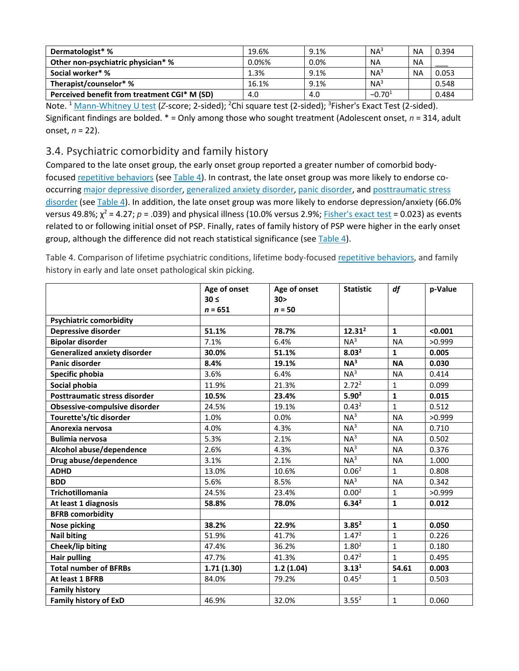| Dermatologist* %                             | 19.6% | 9.1% | $NA^3$          | <b>NA</b> | 0.394 |
|----------------------------------------------|-------|------|-----------------|-----------|-------|
| Other non-psychiatric physician* %           | 0.0%% | 0.0% | <b>NA</b>       | <b>NA</b> |       |
| Social worker* %                             | 1.3%  | 9.1% | NA <sup>3</sup> | NΑ        | 0.053 |
| Therapist/counselor* %                       | 16.1% | 9.1% | NA <sup>3</sup> |           | 0.548 |
| Perceived benefit from treatment CGI* M (SD) | 4.0   | 4.0  | $-0.701$        |           | 0.484 |

Note. <sup>1</sup> [Mann-Whitney U test](https://0-www-sciencedirect-com.libus.csd.mu.edu/topics/medicine-and-dentistry/rank-sum-test) (Z-score; 2-sided); <sup>2</sup>Chi square test (2-sided); <sup>3</sup>Fisher's Exact Test (2-sided). Significant findings are bolded. \* = Only among those who sought treatment (Adolescent onset, *n* = 314, adult onset, *n* = 22).

#### 3.4. Psychiatric comorbidity and family history

Compared to the late onset group, the early onset group reported a greater number of comorbid bodyfocused [repetitive behaviors](https://0-www-sciencedirect-com.libus.csd.mu.edu/topics/medicine-and-dentistry/compulsive-behavior) (see [Table 4\)](https://0-www-sciencedirect-com.libus.csd.mu.edu/science/article/pii/S0010440X18301421#t0020). In contrast, the late onset group was more likely to endorse cooccurring [major depressive disorder,](https://0-www-sciencedirect-com.libus.csd.mu.edu/topics/medicine-and-dentistry/major-depressive-episode) [generalized anxiety disorder,](https://0-www-sciencedirect-com.libus.csd.mu.edu/topics/medicine-and-dentistry/generalized-anxiety-disorder) [panic disorder,](https://0-www-sciencedirect-com.libus.csd.mu.edu/topics/medicine-and-dentistry/panic-disorder) and [posttraumatic stress](https://0-www-sciencedirect-com.libus.csd.mu.edu/topics/medicine-and-dentistry/posttraumatic-stress-disorder)  [disorder](https://0-www-sciencedirect-com.libus.csd.mu.edu/topics/medicine-and-dentistry/posttraumatic-stress-disorder) (see [Table 4\)](https://0-www-sciencedirect-com.libus.csd.mu.edu/science/article/pii/S0010440X18301421#t0020). In addition, the late onset group was more likely to endorse depression/anxiety (66.0% versus 49.8%;  $\chi^2$  = 4.27;  $p$  = .039) and physical illness (10.0% versus 2.9%; [Fisher's exact test](https://0-www-sciencedirect-com.libus.csd.mu.edu/topics/medicine-and-dentistry/fisher-exact-test) = 0.023) as events related to or following initial onset of PSP. Finally, rates of family history of PSP were higher in the early onset group, although the difference did not reach statistical significance (see [Table 4\)](https://0-www-sciencedirect-com.libus.csd.mu.edu/science/article/pii/S0010440X18301421#t0020).

Table 4. Comparison of lifetime psychiatric conditions, lifetime body-focused [repetitive behaviors,](https://0-www-sciencedirect-com.libus.csd.mu.edu/topics/medicine-and-dentistry/compulsive-behavior) and family history in early and late onset pathological skin picking.

|                                     | Age of onset | Age of onset    | <b>Statistic</b>  | df           | p-Value |
|-------------------------------------|--------------|-----------------|-------------------|--------------|---------|
|                                     | $30 \leq$    | 30 <sub>2</sub> |                   |              |         |
|                                     | $n = 651$    | $n = 50$        |                   |              |         |
| <b>Psychiatric comorbidity</b>      |              |                 |                   |              |         |
| <b>Depressive disorder</b>          | 51.1%        | 78.7%           | $12.31^2$         | $\mathbf{1}$ | < 0.001 |
| <b>Bipolar disorder</b>             | 7.1%         | 6.4%            | NA <sup>3</sup>   | <b>NA</b>    | >0.999  |
| <b>Generalized anxiety disorder</b> | 30.0%        | 51.1%           | 8.03 <sup>2</sup> | $\mathbf{1}$ | 0.005   |
| Panic disorder                      | 8.4%         | 19.1%           | NA <sup>3</sup>   | <b>NA</b>    | 0.030   |
| Specific phobia                     | 3.6%         | 6.4%            | $NA^3$            | <b>NA</b>    | 0.414   |
| Social phobia                       | 11.9%        | 21.3%           | 2.72 <sup>2</sup> | $\mathbf{1}$ | 0.099   |
| Posttraumatic stress disorder       | 10.5%        | 23.4%           | $5.90^{2}$        | $\mathbf{1}$ | 0.015   |
| Obsessive-compulsive disorder       | 24.5%        | 19.1%           | 0.43 <sup>2</sup> | $\mathbf{1}$ | 0.512   |
| Tourette's/tic disorder             | 1.0%         | 0.0%            | NA <sup>3</sup>   | <b>NA</b>    | >0.999  |
| Anorexia nervosa                    | 4.0%         | 4.3%            | NA <sup>3</sup>   | <b>NA</b>    | 0.710   |
| <b>Bulimia nervosa</b>              | 5.3%         | 2.1%            | NA <sup>3</sup>   | <b>NA</b>    | 0.502   |
| Alcohol abuse/dependence            | 2.6%         | 4.3%            | NA <sup>3</sup>   | <b>NA</b>    | 0.376   |
| Drug abuse/dependence               | 3.1%         | 2.1%            | NA <sup>3</sup>   | <b>NA</b>    | 1.000   |
| <b>ADHD</b>                         | 13.0%        | 10.6%           | 0.06 <sup>2</sup> | $\mathbf{1}$ | 0.808   |
| <b>BDD</b>                          | 5.6%         | 8.5%            | NA <sup>3</sup>   | <b>NA</b>    | 0.342   |
| <b>Trichotillomania</b>             | 24.5%        | 23.4%           | 0.00 <sup>2</sup> | $\mathbf{1}$ | >0.999  |
| At least 1 diagnosis                | 58.8%        | 78.0%           | $6.34^{2}$        | $\mathbf{1}$ | 0.012   |
| <b>BFRB comorbidity</b>             |              |                 |                   |              |         |
| <b>Nose picking</b>                 | 38.2%        | 22.9%           | 3.85 <sup>2</sup> | $\mathbf{1}$ | 0.050   |
| <b>Nail biting</b>                  | 51.9%        | 41.7%           | 1.47 <sup>2</sup> | $\mathbf{1}$ | 0.226   |
| Cheek/lip biting                    | 47.4%        | 36.2%           | 1.80 <sup>2</sup> | $\mathbf{1}$ | 0.180   |
| <b>Hair pulling</b>                 | 47.7%        | 41.3%           | 0.47 <sup>2</sup> | $\mathbf{1}$ | 0.495   |
| <b>Total number of BFRBs</b>        | 1.71(1.30)   | 1.2(1.04)       | 3.13 <sup>1</sup> | 54.61        | 0.003   |
| At least 1 BFRB                     | 84.0%        | 79.2%           | $0.45^2$          | $\mathbf{1}$ | 0.503   |
| <b>Family history</b>               |              |                 |                   |              |         |
| <b>Family history of ExD</b>        | 46.9%        | 32.0%           | $3.55^{2}$        | $\mathbf{1}$ | 0.060   |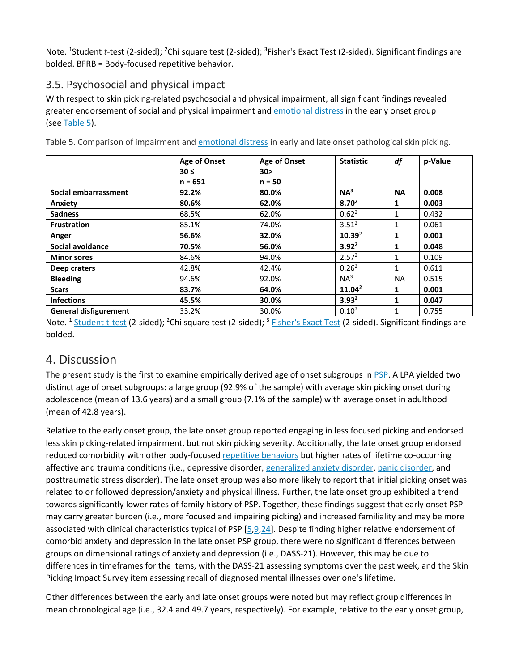Note. <sup>1</sup>Student *t*-test (2-sided); <sup>2</sup>Chi square test (2-sided); <sup>3</sup>Fisher's Exact Test (2-sided). Significant findings are bolded. BFRB = Body-focused repetitive behavior.

## 3.5. Psychosocial and physical impact

With respect to skin picking-related psychosocial and physical impairment, all significant findings revealed greater endorsement of social and physical impairment and [emotional distress](https://0-www-sciencedirect-com.libus.csd.mu.edu/topics/medicine-and-dentistry/emotional-stress) in the early onset group (see [Table 5\)](https://0-www-sciencedirect-com.libus.csd.mu.edu/science/article/pii/S0010440X18301421#t0025).

|                              | Age of Onset<br>$30 \leq$<br>$n = 651$ | <b>Age of Onset</b><br>30 <sub>2</sub><br>$n = 50$ | <b>Statistic</b>   | df        | p-Value |
|------------------------------|----------------------------------------|----------------------------------------------------|--------------------|-----------|---------|
| Social embarrassment         | 92.2%                                  | 80.0%                                              | NA <sup>3</sup>    | <b>NA</b> | 0.008   |
| Anxiety                      | 80.6%                                  | 62.0%                                              | $8.70^{2}$         | 1         | 0.003   |
| <b>Sadness</b>               | 68.5%                                  | 62.0%                                              | $0.62^2$           | 1         | 0.432   |
| <b>Frustration</b>           | 85.1%                                  | 74.0%                                              | $3.51^{2}$         | 1         | 0.061   |
| Anger                        | 56.6%                                  | 32.0%                                              | 10.39 <sup>2</sup> | 1         | 0.001   |
| Social avoidance             | 70.5%                                  | 56.0%                                              | $3.92^2$           | 1         | 0.048   |
| <b>Minor sores</b>           | 84.6%                                  | 94.0%                                              | 2.57 <sup>2</sup>  | 1         | 0.109   |
| Deep craters                 | 42.8%                                  | 42.4%                                              | 0.26 <sup>2</sup>  | 1         | 0.611   |
| <b>Bleeding</b>              | 94.6%                                  | 92.0%                                              | $NA^3$             | <b>NA</b> | 0.515   |
| <b>Scars</b>                 | 83.7%                                  | 64.0%                                              | $11.04^2$          | 1         | 0.001   |
| <b>Infections</b>            | 45.5%                                  | 30.0%                                              | $3.93^{2}$         | 1         | 0.047   |
| <b>General disfigurement</b> | 33.2%                                  | 30.0%                                              | 0.10 <sup>2</sup>  | 1         | 0.755   |

Table 5. Comparison of impairment and [emotional distress](https://0-www-sciencedirect-com.libus.csd.mu.edu/topics/medicine-and-dentistry/emotional-stress) in early and late onset pathological skin picking.

Note. <sup>1</sup> [Student t-test](https://0-www-sciencedirect-com.libus.csd.mu.edu/topics/medicine-and-dentistry/student-t-test) (2-sided); <sup>2</sup>Chi square test (2-sided); <sup>3</sup> [Fisher's Exact Test](https://0-www-sciencedirect-com.libus.csd.mu.edu/topics/medicine-and-dentistry/fisher-exact-test) (2-sided). Significant findings are bolded.

## 4. Discussion

The present study is the first to examine empirically derived age of onset subgroups in [PSP.](https://0-www-sciencedirect-com.libus.csd.mu.edu/topics/medicine-and-dentistry/postsynaptic-potential) A LPA yielded two distinct age of onset subgroups: a large group (92.9% of the sample) with average skin picking onset during adolescence (mean of 13.6 years) and a small group (7.1% of the sample) with average onset in adulthood (mean of 42.8 years).

Relative to the early onset group, the late onset group reported engaging in less focused picking and endorsed less skin picking-related impairment, but not skin picking severity. Additionally, the late onset group endorsed reduced comorbidity with other body-focused [repetitive behaviors](https://0-www-sciencedirect-com.libus.csd.mu.edu/topics/medicine-and-dentistry/compulsive-behavior) but higher rates of lifetime co-occurring affective and trauma conditions (i.e., depressive disorder, [generalized anxiety disorder,](https://0-www-sciencedirect-com.libus.csd.mu.edu/topics/medicine-and-dentistry/generalized-anxiety-disorder) [panic disorder,](https://0-www-sciencedirect-com.libus.csd.mu.edu/topics/medicine-and-dentistry/panic-disorder) and posttraumatic stress disorder). The late onset group was also more likely to report that initial picking onset was related to or followed depression/anxiety and physical illness. Further, the late onset group exhibited a trend towards significantly lower rates of family history of PSP. Together, these findings suggest that early onset PSP may carry greater burden (i.e., more focused and impairing picking) and increased familiality and may be more associated with clinical characteristics typical of PSP [\[5,](https://0-www-sciencedirect-com.libus.csd.mu.edu/science/article/pii/S0010440X18301421#bb0025)[9](https://0-www-sciencedirect-com.libus.csd.mu.edu/science/article/pii/S0010440X18301421#bb0045)[,24\]](https://0-www-sciencedirect-com.libus.csd.mu.edu/science/article/pii/S0010440X18301421#bb0120). Despite finding higher relative endorsement of comorbid anxiety and depression in the late onset PSP group, there were no significant differences between groups on dimensional ratings of anxiety and depression (i.e., DASS-21). However, this may be due to differences in timeframes for the items, with the DASS-21 assessing symptoms over the past week, and the Skin Picking Impact Survey item assessing recall of diagnosed mental illnesses over one's lifetime.

Other differences between the early and late onset groups were noted but may reflect group differences in mean chronological age (i.e., 32.4 and 49.7 years, respectively). For example, relative to the early onset group,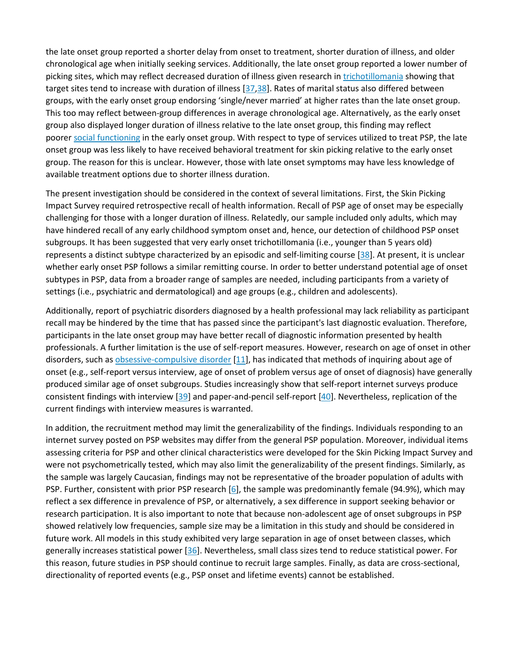the late onset group reported a shorter delay from onset to treatment, shorter duration of illness, and older chronological age when initially seeking services. Additionally, the late onset group reported a lower number of picking sites, which may reflect decreased duration of illness given research in [trichotillomania](https://0-www-sciencedirect-com.libus.csd.mu.edu/topics/medicine-and-dentistry/trichotillomania) showing that target sites tend to increase with duration of illness [[37](https://0-www-sciencedirect-com.libus.csd.mu.edu/science/article/pii/S0010440X18301421#bb0185),[38](https://0-www-sciencedirect-com.libus.csd.mu.edu/science/article/pii/S0010440X18301421#bb0190)]. Rates of marital status also differed between groups, with the early onset group endorsing 'single/never married' at higher rates than the late onset group. This too may reflect between-group differences in average chronological age. Alternatively, as the early onset group also displayed longer duration of illness relative to the late onset group, this finding may reflect poorer [social functioning](https://0-www-sciencedirect-com.libus.csd.mu.edu/topics/medicine-and-dentistry/social-interaction) in the early onset group. With respect to type of services utilized to treat PSP, the late onset group was less likely to have received behavioral treatment for skin picking relative to the early onset group. The reason for this is unclear. However, those with late onset symptoms may have less knowledge of available treatment options due to shorter illness duration.

The present investigation should be considered in the context of several limitations. First, the Skin Picking Impact Survey required retrospective recall of health information. Recall of PSP age of onset may be especially challenging for those with a longer duration of illness. Relatedly, our sample included only adults, which may have hindered recall of any early childhood symptom onset and, hence, our detection of childhood PSP onset subgroups. It has been suggested that very early onset trichotillomania (i.e., younger than 5 years old) represents a distinct subtype characterized by an episodic and self-limiting course [[38](https://0-www-sciencedirect-com.libus.csd.mu.edu/science/article/pii/S0010440X18301421#bb0190)]. At present, it is unclear whether early onset PSP follows a similar remitting course. In order to better understand potential age of onset subtypes in PSP, data from a broader range of samples are needed, including participants from a variety of settings (i.e., psychiatric and dermatological) and age groups (e.g., children and adolescents).

Additionally, report of psychiatric disorders diagnosed by a health professional may lack reliability as participant recall may be hindered by the time that has passed since the participant's last diagnostic evaluation. Therefore, participants in the late onset group may have better recall of diagnostic information presented by health professionals. A further limitation is the use of self-report measures. However, research on age of onset in other disorders, such as [obsessive-compulsive disorder](https://0-www-sciencedirect-com.libus.csd.mu.edu/topics/medicine-and-dentistry/obsessive-compulsive-disorder) [\[11\]](https://0-www-sciencedirect-com.libus.csd.mu.edu/science/article/pii/S0010440X18301421#bb0055), has indicated that methods of inquiring about age of onset (e.g., self-report versus interview, age of onset of problem versus age of onset of diagnosis) have generally produced similar age of onset subgroups. Studies increasingly show that self-report internet surveys produce consistent findings with interview [[39](https://0-www-sciencedirect-com.libus.csd.mu.edu/science/article/pii/S0010440X18301421#bb0195)] and paper-and-pencil self-report [\[40\]](https://0-www-sciencedirect-com.libus.csd.mu.edu/science/article/pii/S0010440X18301421#bb0200). Nevertheless, replication of the current findings with interview measures is warranted.

In addition, the recruitment method may limit the generalizability of the findings. Individuals responding to an internet survey posted on PSP websites may differ from the general PSP population. Moreover, individual items assessing criteria for PSP and other clinical characteristics were developed for the Skin Picking Impact Survey and were not psychometrically tested, which may also limit the generalizability of the present findings. Similarly, as the sample was largely Caucasian, findings may not be representative of the broader population of adults with PSP. Further, consistent with prior PSP research [\[6](https://0-www-sciencedirect-com.libus.csd.mu.edu/science/article/pii/S0010440X18301421#bb0030)], the sample was predominantly female (94.9%), which may reflect a sex difference in prevalence of PSP, or alternatively, a sex difference in support seeking behavior or research participation. It is also important to note that because non-adolescent age of onset subgroups in PSP showed relatively low frequencies, sample size may be a limitation in this study and should be considered in future work. All models in this study exhibited very large separation in age of onset between classes, which generally increases statistical power [[36](https://0-www-sciencedirect-com.libus.csd.mu.edu/science/article/pii/S0010440X18301421#bb0180)]. Nevertheless, small class sizes tend to reduce statistical power. For this reason, future studies in PSP should continue to recruit large samples. Finally, as data are cross-sectional, directionality of reported events (e.g., PSP onset and lifetime events) cannot be established.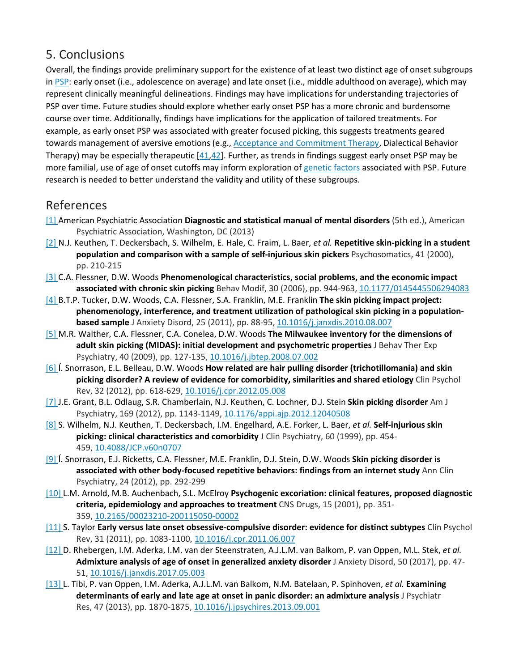## 5. Conclusions

Overall, the findings provide preliminary support for the existence of at least two distinct age of onset subgroups in [PSP:](https://0-www-sciencedirect-com.libus.csd.mu.edu/topics/medicine-and-dentistry/postsynaptic-potential) early onset (i.e., adolescence on average) and late onset (i.e., middle adulthood on average), which may represent clinically meaningful delineations. Findings may have implications for understanding trajectories of PSP over time. Future studies should explore whether early onset PSP has a more chronic and burdensome course over time. Additionally, findings have implications for the application of tailored treatments. For example, as early onset PSP was associated with greater focused picking, this suggests treatments geared towards management of aversive emotions (e.g., [Acceptance and Commitment Therapy,](https://0-www-sciencedirect-com.libus.csd.mu.edu/topics/medicine-and-dentistry/acceptance-and-commitment-therapy) Dialectical Behavior Therapy) may be especially therapeutic [\[41,](https://0-www-sciencedirect-com.libus.csd.mu.edu/science/article/pii/S0010440X18301421#bb0205)[42\]](https://0-www-sciencedirect-com.libus.csd.mu.edu/science/article/pii/S0010440X18301421#bb0210). Further, as trends in findings suggest early onset PSP may be more familial, use of age of onset cutoffs may inform exploration of [genetic factors](https://0-www-sciencedirect-com.libus.csd.mu.edu/topics/medicine-and-dentistry/heredity) associated with PSP. Future research is needed to better understand the validity and utility of these subgroups.

## References

- [\[1\]](https://0-www-sciencedirect-com.libus.csd.mu.edu/science/article/pii/S0010440X18301421#bbb0005) American Psychiatric Association **Diagnostic and statistical manual of mental disorders** (5th ed.), American Psychiatric Association, Washington, DC (2013)
- [\[2\]](https://0-www-sciencedirect-com.libus.csd.mu.edu/science/article/pii/S0010440X18301421#bbb0010) N.J. Keuthen, T. Deckersbach, S. Wilhelm, E. Hale, C. Fraim, L. Baer, *et al.* **Repetitive skin-picking in a student population and comparison with a sample of self-injurious skin pickers** Psychosomatics, 41 (2000), pp. 210-215
- [\[3\]](https://0-www-sciencedirect-com.libus.csd.mu.edu/science/article/pii/S0010440X18301421#bbb0015) C.A. Flessner, D.W. Woods **Phenomenological characteristics, social problems, and the economic impact associated with chronic skin picking** Behav Modif, 30 (2006), pp. 944-963, [10.1177/0145445506294083](https://doi.org/10.1177/0145445506294083)
- [\[4\]](https://0-www-sciencedirect-com.libus.csd.mu.edu/science/article/pii/S0010440X18301421#bbb0020) B.T.P. Tucker, D.W. Woods, C.A. Flessner, S.A. Franklin, M.E. Franklin **The skin picking impact project: phenomenology, interference, and treatment utilization of pathological skin picking in a populationbased sample** J Anxiety Disord, 25 (2011), pp. 88-95, [10.1016/j.janxdis.2010.08.007](https://doi.org/10.1016/j.janxdis.2010.08.007)
- [\[5\]](https://0-www-sciencedirect-com.libus.csd.mu.edu/science/article/pii/S0010440X18301421#bbb0025) M.R. Walther, C.A. Flessner, C.A. Conelea, D.W. Woods **The Milwaukee inventory for the dimensions of adult skin picking (MIDAS): initial development and psychometric properties** J Behav Ther Exp Psychiatry, 40 (2009), pp. 127-135, [10.1016/j.jbtep.2008.07.002](https://doi.org/10.1016/j.jbtep.2008.07.002)
- [\[6\]](https://0-www-sciencedirect-com.libus.csd.mu.edu/science/article/pii/S0010440X18301421#bbb0030) Í. Snorrason, E.L. Belleau, D.W. Woods **How related are hair pulling disorder (trichotillomania) and skin picking disorder? A review of evidence for comorbidity, similarities and shared etiology** Clin Psychol Rev, 32 (2012), pp. 618-629, [10.1016/j.cpr.2012.05.008](https://doi.org/10.1016/j.cpr.2012.05.008)
- [\[7\]](https://0-www-sciencedirect-com.libus.csd.mu.edu/science/article/pii/S0010440X18301421#bbb0035) J.E. Grant, B.L. Odlaug, S.R. Chamberlain, N.J. Keuthen, C. Lochner, D.J. Stein **Skin picking disorder** Am J Psychiatry, 169 (2012), pp. 1143-1149, [10.1176/appi.ajp.2012.12040508](https://doi.org/10.1176/appi.ajp.2012.12040508)
- [\[8\]](https://0-www-sciencedirect-com.libus.csd.mu.edu/science/article/pii/S0010440X18301421#bbb0040) S. Wilhelm, N.J. Keuthen, T. Deckersbach, I.M. Engelhard, A.E. Forker, L. Baer, *et al.* **Self-injurious skin picking: clinical characteristics and comorbidity** J Clin Psychiatry, 60 (1999), pp. 454- 459, [10.4088/JCP.v60n0707](https://doi.org/10.4088/JCP.v60n0707)
- [\[9\]](https://0-www-sciencedirect-com.libus.csd.mu.edu/science/article/pii/S0010440X18301421#bbb0045) Í. Snorrason, E.J. Ricketts, C.A. Flessner, M.E. Franklin, D.J. Stein, D.W. Woods **Skin picking disorder is associated with other body-focused repetitive behaviors: findings from an internet study** Ann Clin Psychiatry, 24 (2012), pp. 292-299
- [\[10\]](https://0-www-sciencedirect-com.libus.csd.mu.edu/science/article/pii/S0010440X18301421#bbb0050) L.M. Arnold, M.B. Auchenbach, S.L. McElroy **Psychogenic excoriation: clinical features, proposed diagnostic criteria, epidemiology and approaches to treatment** CNS Drugs, 15 (2001), pp. 351- 359, [10.2165/00023210](https://doi.org/10.2165/00023210-200115050-00002)-200115050-00002
- [\[11\]](https://0-www-sciencedirect-com.libus.csd.mu.edu/science/article/pii/S0010440X18301421#bbb0055) S. Taylor **Early versus late onset obsessive-compulsive disorder: evidence for distinct subtypes** Clin Psychol Rev, 31 (2011), pp. 1083-1100, [10.1016/j.cpr.2011.06.007](https://doi.org/10.1016/j.cpr.2011.06.007)
- [\[12\]](https://0-www-sciencedirect-com.libus.csd.mu.edu/science/article/pii/S0010440X18301421#bbb0060) D. Rhebergen, I.M. Aderka, I.M. van der Steenstraten, A.J.L.M. van Balkom, P. van Oppen, M.L. Stek, *et al.* **Admixture analysis of age of onset in generalized anxiety disorder** J Anxiety Disord, 50 (2017), pp. 47- 51, [10.1016/j.janxdis.2017.05.003](https://doi.org/10.1016/j.janxdis.2017.05.003)
- [\[13\]](https://0-www-sciencedirect-com.libus.csd.mu.edu/science/article/pii/S0010440X18301421#bbb0065) L. Tibi, P. van Oppen, I.M. Aderka, A.J.L.M. van Balkom, N.M. Batelaan, P. Spinhoven, *et al.* **Examining determinants of early and late age at onset in panic disorder: an admixture analysis** J Psychiatr Res, 47 (2013), pp. 1870-1875, [10.1016/j.jpsychires.2013.09.001](https://doi.org/10.1016/j.jpsychires.2013.09.001)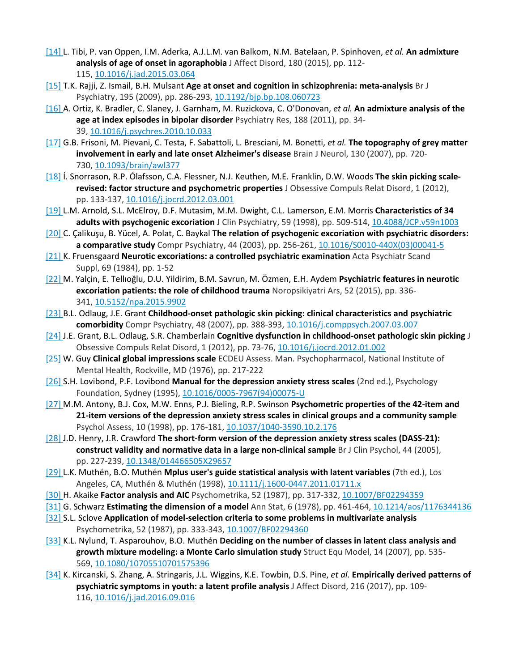- [\[14\]](https://0-www-sciencedirect-com.libus.csd.mu.edu/science/article/pii/S0010440X18301421#bbb0070) L. Tibi, P. van Oppen, I.M. Aderka, A.J.L.M. van Balkom, N.M. Batelaan, P. Spinhoven, *et al.* **An admixture analysis of age of onset in agoraphobia** J Affect Disord, 180 (2015), pp. 112- 115, [10.1016/j.jad.2015.03.064](https://doi.org/10.1016/j.jad.2015.03.064)
- [\[15\]](https://0-www-sciencedirect-com.libus.csd.mu.edu/science/article/pii/S0010440X18301421#bbb0075) T.K. Rajji, Z. Ismail, B.H. Mulsant **Age at onset and cognition in schizophrenia: meta-analysis** Br J Psychiatry, 195 (2009), pp. 286-293, [10.1192/bjp.bp.108.060723](https://doi.org/10.1192/bjp.bp.108.060723)
- [\[16\]](https://0-www-sciencedirect-com.libus.csd.mu.edu/science/article/pii/S0010440X18301421#bbb0080) A. Ortiz, K. Bradler, C. Slaney, J. Garnham, M. Ruzickova, C. O'Donovan, *et al.* **An admixture analysis of the age at index episodes in bipolar disorder** Psychiatry Res, 188 (2011), pp. 34- 39, [10.1016/j.psychres.2010.10.033](https://doi.org/10.1016/j.psychres.2010.10.033)
- [\[17\]](https://0-www-sciencedirect-com.libus.csd.mu.edu/science/article/pii/S0010440X18301421#bbb0085) G.B. Frisoni, M. Pievani, C. Testa, F. Sabattoli, L. Bresciani, M. Bonetti, *et al.* **The topography of grey matter involvement in early and late onset Alzheimer's disease** Brain J Neurol, 130 (2007), pp. 720- 730, [10.1093/brain/awl377](https://doi.org/10.1093/brain/awl377)
- [\[18\]](https://0-www-sciencedirect-com.libus.csd.mu.edu/science/article/pii/S0010440X18301421#bbb0090) Í. Snorrason, R.P. Ólafsson, C.A. Flessner, N.J. Keuthen, M.E. Franklin, D.W. Woods **The skin picking scalerevised: factor structure and psychometric properties** J Obsessive Compuls Relat Disord, 1 (2012), pp. 133-137, [10.1016/j.jocrd.2012.03.001](https://doi.org/10.1016/j.jocrd.2012.03.001)
- [\[19\]](https://0-www-sciencedirect-com.libus.csd.mu.edu/science/article/pii/S0010440X18301421#bbb0095) L.M. Arnold, S.L. McElroy, D.F. Mutasim, M.M. Dwight, C.L. Lamerson, E.M. Morris **Characteristics of 34 adults with psychogenic excoriation** J Clin Psychiatry, 59 (1998), pp. 509-514, [10.4088/JCP.v59n1003](https://doi.org/10.4088/JCP.v59n1003)
- [\[20\]](https://0-www-sciencedirect-com.libus.csd.mu.edu/science/article/pii/S0010440X18301421#bbb0100) C. Çalikuşu, B. Yücel, A. Polat, C. Baykal **The relation of psychogenic excoriation with psychiatric disorders: a comparative study** Compr Psychiatry, 44 (2003), pp. 256-261, [10.1016/S0010-](https://doi.org/10.1016/S0010-440X(03)00041-5)440X(03)00041-5
- [\[21\]](https://0-www-sciencedirect-com.libus.csd.mu.edu/science/article/pii/S0010440X18301421#bbb0105) K. Fruensgaard **Neurotic excoriations: a controlled psychiatric examination** Acta Psychiatr Scand Suppl, 69 (1984), pp. 1-52
- [\[22\]](https://0-www-sciencedirect-com.libus.csd.mu.edu/science/article/pii/S0010440X18301421#bbb0110) M. Yalçin, E. Tellıoğlu, D.U. Yildirim, B.M. Savrun, M. Özmen, E.H. Aydem **Psychiatric features in neurotic excoriation patients: the role of childhood trauma** Noropsikiyatri Ars, 52 (2015), pp. 336- 341, [10.5152/npa.2015.9902](https://doi.org/10.5152/npa.2015.9902)
- [\[23\]](https://0-www-sciencedirect-com.libus.csd.mu.edu/science/article/pii/S0010440X18301421#bbb0115) B.L. Odlaug, J.E. Grant **Childhood-onset pathologic skin picking: clinical characteristics and psychiatric comorbidity** Compr Psychiatry, 48 (2007), pp. 388-393, [10.1016/j.comppsych.2007.03.007](https://doi.org/10.1016/j.comppsych.2007.03.007)
- [\[24\]](https://0-www-sciencedirect-com.libus.csd.mu.edu/science/article/pii/S0010440X18301421#bbb0120) J.E. Grant, B.L. Odlaug, S.R. Chamberlain **Cognitive dysfunction in childhood-onset pathologic skin picking** J Obsessive Compuls Relat Disord, 1 (2012), pp. 73-76, [10.1016/j.jocrd.2012.01.002](https://doi.org/10.1016/j.jocrd.2012.01.002)
- [\[25\]](https://0-www-sciencedirect-com.libus.csd.mu.edu/science/article/pii/S0010440X18301421#bbb0125) W. Guy **Clinical global impressions scale** ECDEU Assess. Man. Psychopharmacol, National Institute of Mental Health, Rockville, MD (1976), pp. 217-222
- [\[26\]](https://0-www-sciencedirect-com.libus.csd.mu.edu/science/article/pii/S0010440X18301421#bbb0130) S.H. Lovibond, P.F. Lovibond **Manual for the depression anxiety stress scales** (2nd ed.), Psychology Foundation, Sydney (1995), 10.1016/0005-[7967\(94\)00075](https://doi.org/10.1016/0005-7967(94)00075-U)-U
- [\[27\]](https://0-www-sciencedirect-com.libus.csd.mu.edu/science/article/pii/S0010440X18301421#bbb0135) M.M. Antony, B.J. Cox, M.W. Enns, P.J. Bieling, R.P. Swinson **Psychometric properties of the 42-item and 21-item versions of the depression anxiety stress scales in clinical groups and a community sample** Psychol Assess, 10 (1998), pp. 176-181, 10.1037/1040-[3590.10.2.176](https://doi.org/10.1037/1040-3590.10.2.176)
- [\[28\]](https://0-www-sciencedirect-com.libus.csd.mu.edu/science/article/pii/S0010440X18301421#bbb0140) J.D. Henry, J.R. Crawford **The short-form version of the depression anxiety stress scales (DASS-21): construct validity and normative data in a large non-clinical sample** Br J Clin Psychol, 44 (2005), pp. 227-239, [10.1348/014466505X29657](https://doi.org/10.1348/014466505X29657)
- [\[29\]](https://0-www-sciencedirect-com.libus.csd.mu.edu/science/article/pii/S0010440X18301421#bbb0145) L.K. Muthén, B.O. Muthén **Mplus user's guide statistical analysis with latent variables** (7th ed.), Los Angeles, CA, Muthén & Muthén (1998), [10.1111/j.1600-0447.2011.01711.x](https://doi.org/10.1111/j.1600-0447.2011.01711.x)
- [\[30\]](https://0-www-sciencedirect-com.libus.csd.mu.edu/science/article/pii/S0010440X18301421#bbb0150) H. Akaike **Factor analysis and AIC** Psychometrika, 52 (1987), pp. 317-332, [10.1007/BF02294359](https://doi.org/10.1007/BF02294359)
- [\[31\]](https://0-www-sciencedirect-com.libus.csd.mu.edu/science/article/pii/S0010440X18301421#bbb0155) G. Schwarz **Estimating the dimension of a model** Ann Stat, 6 (1978), pp. 461-464, [10.1214/aos/1176344136](https://doi.org/10.1214/aos/1176344136)
- [\[32\]](https://0-www-sciencedirect-com.libus.csd.mu.edu/science/article/pii/S0010440X18301421#bbb0160) S.L. Sclove **Application of model-selection criteria to some problems in multivariate analysis** Psychometrika, 52 (1987), pp. 333-343, [10.1007/BF02294360](https://doi.org/10.1007/BF02294360)
- [\[33\]](https://0-www-sciencedirect-com.libus.csd.mu.edu/science/article/pii/S0010440X18301421#bbb0165) K.L. Nylund, T. Asparouhov, B.O. Muthén **Deciding on the number of classes in latent class analysis and growth mixture modeling: a Monte Carlo simulation study** Struct Equ Model, 14 (2007), pp. 535- 569, [10.1080/10705510701575396](https://doi.org/10.1080/10705510701575396)
- [\[34\]](https://0-www-sciencedirect-com.libus.csd.mu.edu/science/article/pii/S0010440X18301421#bbb0170) K. Kircanski, S. Zhang, A. Stringaris, J.L. Wiggins, K.E. Towbin, D.S. Pine, *et al.* **Empirically derived patterns of psychiatric symptoms in youth: a latent profile analysis** J Affect Disord, 216 (2017), pp. 109- 116, [10.1016/j.jad.2016.09.016](https://doi.org/10.1016/j.jad.2016.09.016)